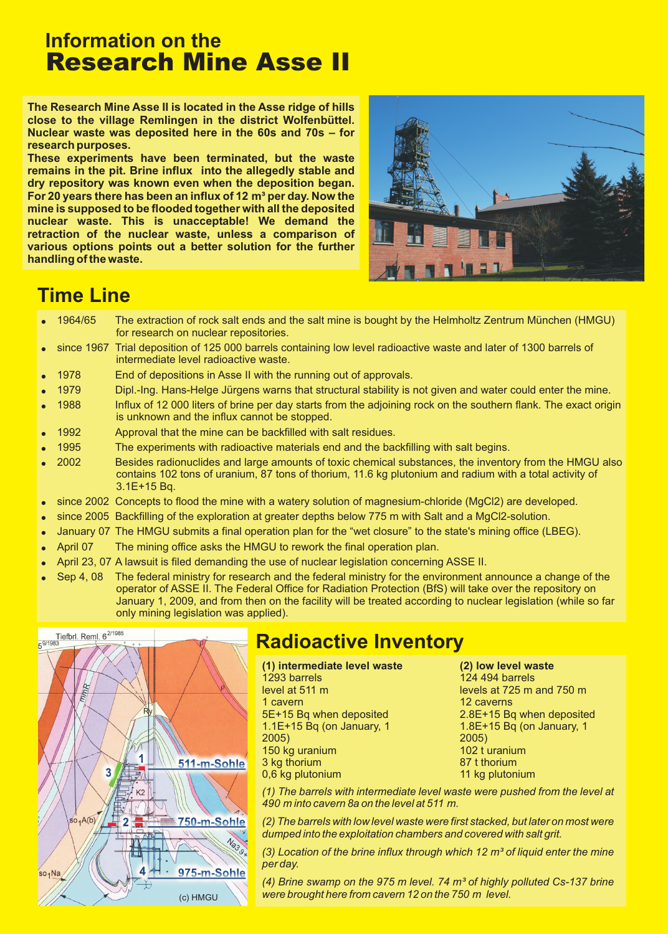## **Information on the** Research Mine Asse II

**The Research Mine Asse II is located in the Asse ridge of hills close to the village Remlingen in the district Wolfenbüttel. Nuclear waste was deposited here in the 60s and 70s – for research purposes.**

**These experiments have been terminated, but the waste remains in the pit. Brine influx into the allegedly stable and dry repository was known even when the deposition began.** For 20 years there has been an influx of 12 m<sup>3</sup> per day. Now the **mine is supposed to be flooded together with all the deposited nuclear waste. This is unacceptable! We demand the retraction of the nuclear waste, unless a comparison of various options points out a better solution for the further handling of the waste.**



## **Time Line**

- $\bullet$ 1964/65 The extraction of rock salt ends and the salt mine is bought by the Helmholtz Zentrum München (HMGU) for research on nuclear repositories.
- $\bullet$ since 1967 Trial deposition of 125 000 barrels containing low level radioactive waste and later of 1300 barrels of intermediate level radioactive waste.
- $\bullet$ 1978 End of depositions in Asse II with the running out of approvals.
- $\bullet$ 1979 Dipl.-Ing. Hans-Helge Jürgens warns that structural stability is not given and water could enter the mine.
- $\bullet$ 1988 Influx of 12 000 liters of brine per day starts from the adjoining rock on the southern flank. The exact origin is unknown and the influx cannot be stopped.
- $\bullet$ 1992 Approval that the mine can be backfilled with salt residues.
- $\bullet$ 1995 The experiments with radioactive materials end and the backfilling with salt begins.
- $\bullet$ 2002 Besides radionuclides and large amounts of toxic chemical substances, the inventory from the HMGU also contains 102 tons of uranium, 87 tons of thorium, 11.6 kg plutonium and radium with a total activity of 3.1E+15 Bq.
- $\bullet$ since 2002 Concepts to flood the mine with a watery solution of magnesium-chloride (MgCl2) are developed.
- $\bullet$ since 2005 Backfilling of the exploration at greater depths below 775 m with Salt and a MgCl2-solution.
- $\bullet$ January 07 The HMGU submits a final operation plan for the "wet closure" to the state's mining office (LBEG).
- $\bullet$ April 07 The mining office asks the HMGU to rework the final operation plan.
- $\bullet$ April 23, 07 A lawsuit is filed demanding the use of nuclear legislation concerning ASSE II.
- $\bullet$ Sep 4, 08 The federal ministry for research and the federal ministry for the environment announce a change of the operator of ASSE II. The Federal Office for Radiation Protection (BfS) will take over the repository on January 1, 2009, and from then on the facility will be treated according to nuclear legislation (while so far only mining legislation was applied).



# **Radioactive Inventory**

**(1) intermediate level waste (2) low level waste** 1293 barrels level at 511 m 1 cavern 5E+15 Bq when deposited 1.1E+15 Bq (on January, 1 2005) 150 kg uranium 3 kg thorium 0,6 kg plutonium

124 494 barrels levels at 725 m and 750 m 12 caverns 2.8E+15 Bq when deposited 1.8E+15 Bq (on January, 1 2005) 102 t uranium 87 t thorium 11 kg plutonium

*(1) The barrels with intermediate level waste were pushed from the level at 490 m into cavern 8a on the level at 511 m.*

*(2) The barrels with low level waste were first stacked, but later on most were dumped into the exploitation chambers and covered with salt grit.*

*(3) Location of the brine influx through which 12 m³ of liquid enter the mine per day.*

*(4) Brine swamp on the 975 m level. 74 m³ of highly polluted Cs-137 brine were brought here from cavern 12 on the 750 m level.*